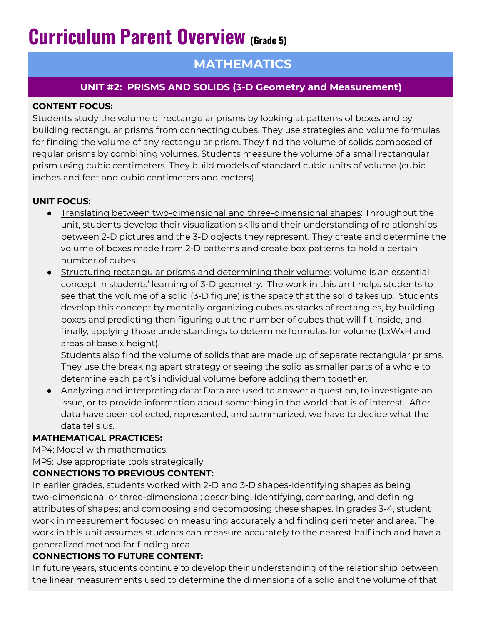# **Curriculum Parent Overview (Grade 5)**

# **MATHEMATICS**

## **UNIT #2: PRISMS AND SOLIDS (3-D Geometry and Measurement)**

#### **CONTENT FOCUS:**

Students study the volume of rectangular prisms by looking at patterns of boxes and by building rectangular prisms from connecting cubes. They use strategies and volume formulas for finding the volume of any rectangular prism. They find the volume of solids composed of regular prisms by combining volumes. Students measure the volume of a small rectangular prism using cubic centimeters. They build models of standard cubic units of volume (cubic inches and feet and cubic centimeters and meters).

#### **UNIT FOCUS:**

- Translating between two-dimensional and three-dimensional shapes: Throughout the unit, students develop their visualization skills and their understanding of relationships between 2-D pictures and the 3-D objects they represent. They create and determine the volume of boxes made from 2-D patterns and create box patterns to hold a certain number of cubes.
- **•** Structuring rectangular prisms and determining their volume: Volume is an essential concept in students' learning of 3-D geometry. The work in this unit helps students to see that the volume of a solid (3-D figure) is the space that the solid takes up. Students develop this concept by mentally organizing cubes as stacks of rectangles, by building boxes and predicting then figuring out the number of cubes that will fit inside, and finally, applying those understandings to determine formulas for volume (LxWxH and areas of base x height).

Students also find the volume of solids that are made up of separate rectangular prisms. They use the breaking apart strategy or seeing the solid as smaller parts of a whole to determine each part's individual volume before adding them together.

• Analyzing and interpreting data: Data are used to answer a question, to investigate an issue, or to provide information about something in the world that is of interest. After data have been collected, represented, and summarized, we have to decide what the data tells us.

#### **MATHEMATICAL PRACTICES:**

MP4: Model with mathematics.

MP5: Use appropriate tools strategically.

#### **CONNECTIONS TO PREVIOUS CONTENT:**

In earlier grades, students worked with 2-D and 3-D shapes-identifying shapes as being two-dimensional or three-dimensional; describing, identifying, comparing, and defining attributes of shapes; and composing and decomposing these shapes. In grades 3-4, student work in measurement focused on measuring accurately and finding perimeter and area. The work in this unit assumes students can measure accurately to the nearest half inch and have a generalized method for finding area

#### **CONNECTIONS TO FUTURE CONTENT:**

In future years, students continue to develop their understanding of the relationship between the linear measurements used to determine the dimensions of a solid and the volume of that